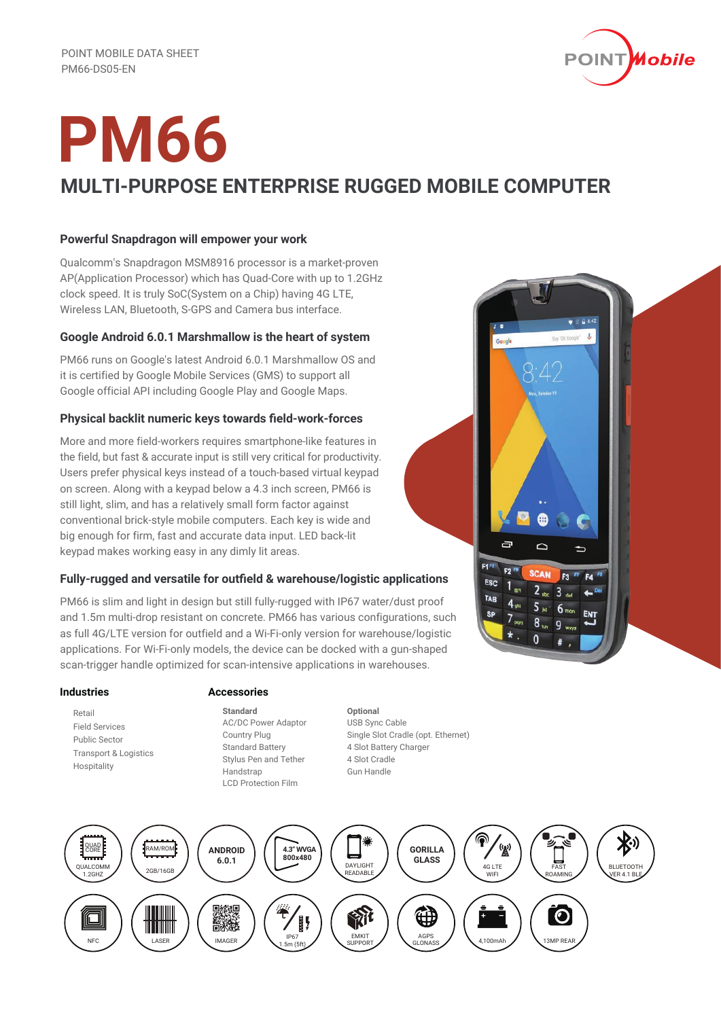

## **PM66 MULTI-PURPOSE ENTERPRISE RUGGED MOBILE COMPUTER**

### **Powerful Snapdragon will empower your work**

Qualcomm's Snapdragon MSM8916 processor is a market-proven AP(Application Processor) which has Quad-Core with up to 1.2GHz clock speed. It is truly SoC(System on a Chip) having 4G LTE, Wireless LAN, Bluetooth, S-GPS and Camera bus interface.

### **Google Android 6.0.1 Marshmallow is the heart of system**

PM66 runs on Google's latest Android 6.0.1 Marshmallow OS and it is certified by Google Mobile Services (GMS) to support all Google official API including Google Play and Google Maps.

### **Physical backlit numeric keys towards field-work-forces**

More and more field-workers requires smartphone-like features in the field, but fast & accurate input is still very critical for productivity. Users prefer physical keys instead of a touch-based virtual keypad on screen. Along with a keypad below a 4.3 inch screen, PM66 is still light, slim, and has a relatively small form factor against conventional brick-style mobile computers. Each key is wide and big enough for firm, fast and accurate data input. LED back-lit keypad makes working easy in any dimly lit areas.

### **Fully-rugged and versatile for outfield & warehouse/logistic applications**

PM66 is slim and light in design but still fully-rugged with IP67 water/dust proof and 1.5m multi-drop resistant on concrete. PM66 has various configurations, such as full 4G/LTE version for outfield and a Wi-Fi-only version for warehouse/logistic applications. For Wi-Fi-only models, the device can be docked with a gun-shaped scan-trigger handle optimized for scan-intensive applications in warehouses.

### **Industries**

 Retail Field Services Public Sector Transport & Logistics Hospitality

### **Accessories**

**Standard** AC/DC Power Adaptor Country Plug Standard Battery Stylus Pen and Tether Handstrap LCD Protection Film

**Optional** USB Sync Cable Single Slot Cradle (opt. Ethernet) 4 Slot Battery Charger 4 Slot Cradle Gun Handle